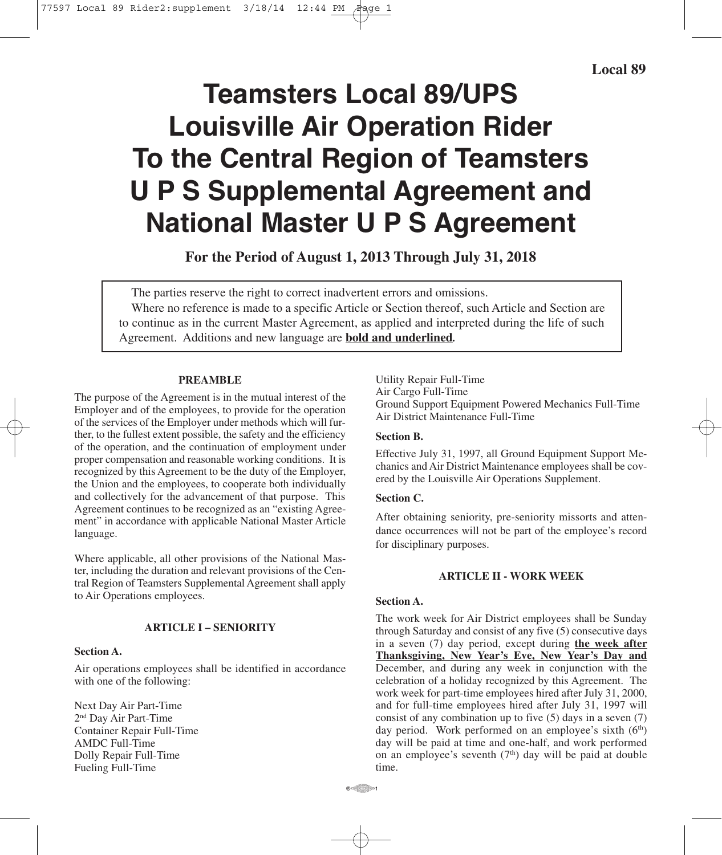# **Teamsters Local 89/UPS Louisville Air Operation Rider To the Central Region of Teamsters U P S Supplemental Agreement and National Master U P S Agreement**

**For the Period of August 1, 2013 Through July 31, 2018**

The parties reserve the right to correct inadvertent errors and omissions. Where no reference is made to a specific Article or Section thereof, such Article and Section are to continue as in the current Master Agreement, as applied and interpreted during the life of such Agreement. Additions and new language are **bold and underlined***.*

#### **PREAMBLE**

The purpose of the Agreement is in the mutual interest of the Employer and of the employees, to provide for the operation of the services of the Employer under methods which will further, to the fullest extent possible, the safety and the efficiency of the operation, and the continuation of employment under proper compensation and reasonable working conditions. It is recognized by this Agreement to be the duty of the Employer, the Union and the employees, to cooperate both individually and collectively for the advancement of that purpose. This Agreement continues to be recognized as an "existing Agreement" in accordance with applicable National Master Article language.

Where applicable, all other provisions of the National Master, including the duration and relevant provisions of the Central Region of Teamsters Supplemental Agreement shall apply to Air Operations employees.

# **ARTICLE I – SENIORITY**

#### **Section A.**

Air operations employees shall be identified in accordance with one of the following:

Next Day Air Part-Time 2nd Day Air Part-Time Container Repair Full-Time AMDC Full-Time Dolly Repair Full-Time Fueling Full-Time

Utility Repair Full-Time Air Cargo Full-Time Ground Support Equipment Powered Mechanics Full-Time Air District Maintenance Full-Time

## **Section B.**

Effective July 31, 1997, all Ground Equipment Support Mechanics and Air District Maintenance employees shall be covered by the Louisville Air Operations Supplement.

#### **Section C.**

After obtaining seniority, pre-seniority missorts and attendance occurrences will not be part of the employee's record for disciplinary purposes.

## **ARTICLE II - WORK WEEK**

## **Section A.**

The work week for Air District employees shall be Sunday through Saturday and consist of any five (5) consecutive days in a seven (7) day period, except during **the week after Thanksgiving, New Year's Eve, New Year's Day and** December, and during any week in conjunction with the celebration of a holiday recognized by this Agreement. The work week for part-time employees hired after July 31, 2000, and for full-time employees hired after July 31, 1997 will consist of any combination up to five (5) days in a seven (7) day period. Work performed on an employee's sixth (6<sup>th</sup>) day will be paid at time and one-half, and work performed on an employee's seventh  $(7<sup>th</sup>)$  day will be paid at double time.

 $R \in \mathbb{R}$  1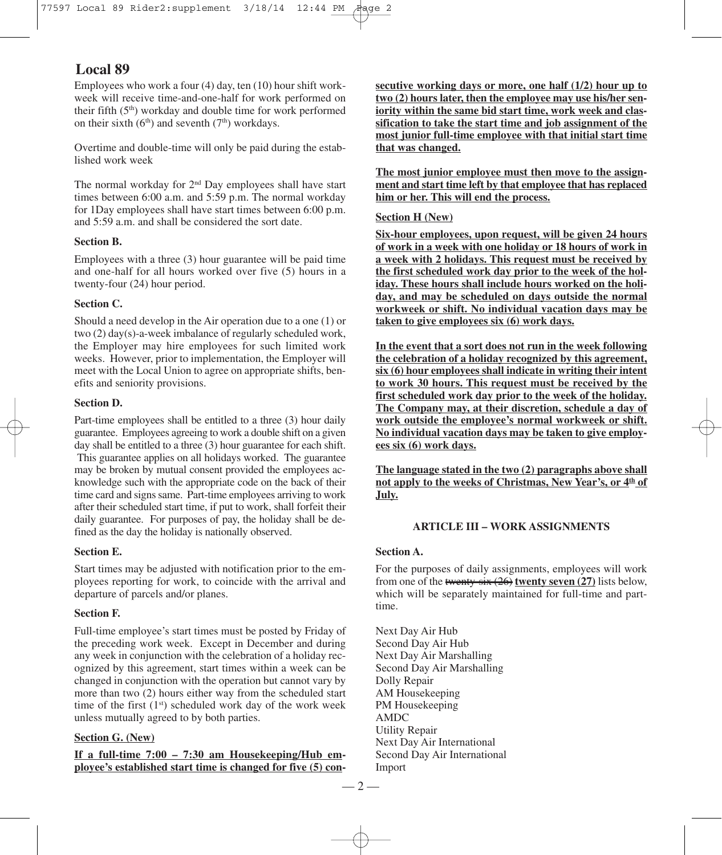Employees who work a four (4) day, ten (10) hour shift workweek will receive time-and-one-half for work performed on their fifth (5<sup>th</sup>) workday and double time for work performed on their sixth  $(6<sup>th</sup>)$  and seventh  $(7<sup>th</sup>)$  workdays.

Overtime and double-time will only be paid during the established work week

The normal workday for 2<sup>nd</sup> Day employees shall have start times between 6:00 a.m. and 5:59 p.m. The normal workday for 1Day employees shall have start times between 6:00 p.m. and 5:59 a.m. and shall be considered the sort date.

## **Section B.**

Employees with a three (3) hour guarantee will be paid time and one-half for all hours worked over five (5) hours in a twenty-four (24) hour period.

## **Section C.**

Should a need develop in the Air operation due to a one (1) or two (2) day(s)-a-week imbalance of regularly scheduled work, the Employer may hire employees for such limited work weeks. However, prior to implementation, the Employer will meet with the Local Union to agree on appropriate shifts, benefits and seniority provisions.

# **Section D.**

Part-time employees shall be entitled to a three (3) hour daily guarantee. Employees agreeing to work a double shift on a given day shall be entitled to a three (3) hour guarantee for each shift. This guarantee applies on all holidays worked. The guarantee may be broken by mutual consent provided the employees acknowledge such with the appropriate code on the back of their time card and signs same. Part-time employees arriving to work after their scheduled start time, if put to work, shall forfeit their daily guarantee. For purposes of pay, the holiday shall be defined as the day the holiday is nationally observed.

# **Section E.**

Start times may be adjusted with notification prior to the employees reporting for work, to coincide with the arrival and departure of parcels and/or planes.

# **Section F.**

Full-time employee's start times must be posted by Friday of the preceding work week. Except in December and during any week in conjunction with the celebration of a holiday recognized by this agreement, start times within a week can be changed in conjunction with the operation but cannot vary by more than two (2) hours either way from the scheduled start time of the first (1st) scheduled work day of the work week unless mutually agreed to by both parties.

# **Section G. (New)**

**If a full-time 7:00 – 7:30 am Housekeeping/Hub employee's established start time is changed for five (5) con-** **secutive working days or more, one half (1/2) hour up to two (2) hours later, then the employee may use his/her seniority within the same bid start time, work week and classification to take the start time and job assignment of the most junior full-time employee with that initial start time that was changed.**

**The most junior employee must then move to the assignment and start time left by that employee that has replaced him or her. This will end the process.**

## **Section H (New)**

**Six-hour employees, upon request, will be given 24 hours of work in a week with one holiday or 18 hours of work in a week with 2 holidays. This request must be received by the first scheduled work day prior to the week of the holiday. These hours shall include hours worked on the holiday, and may be scheduled on days outside the normal workweek or shift. No individual vacation days may be taken to give employees six (6) work days.**

**In the event that a sort does not run in the week following the celebration of a holiday recognized by this agreement, six (6) hour employees shall indicate in writing their intent to work 30 hours. This request must be received by the first scheduled work day prior to the week of the holiday. The Company may, at their discretion, schedule a day of work outside the employee's normal workweek or shift. No individual vacation days may be taken to give employees six (6) work days.**

**The language stated in the two (2) paragraphs above shall not apply to the weeks of Christmas, New Year's, or 4th of July.**

# **ARTICLE III – WORK ASSIGNMENTS**

## **Section A.**

For the purposes of daily assignments, employees will work from one of the twenty-six (26) **twenty seven (27)** lists below, which will be separately maintained for full-time and parttime.

Next Day Air Hub Second Day Air Hub Next Day Air Marshalling Second Day Air Marshalling Dolly Repair AM Housekeeping PM Housekeeping AMDC Utility Repair Next Day Air International Second Day Air International Import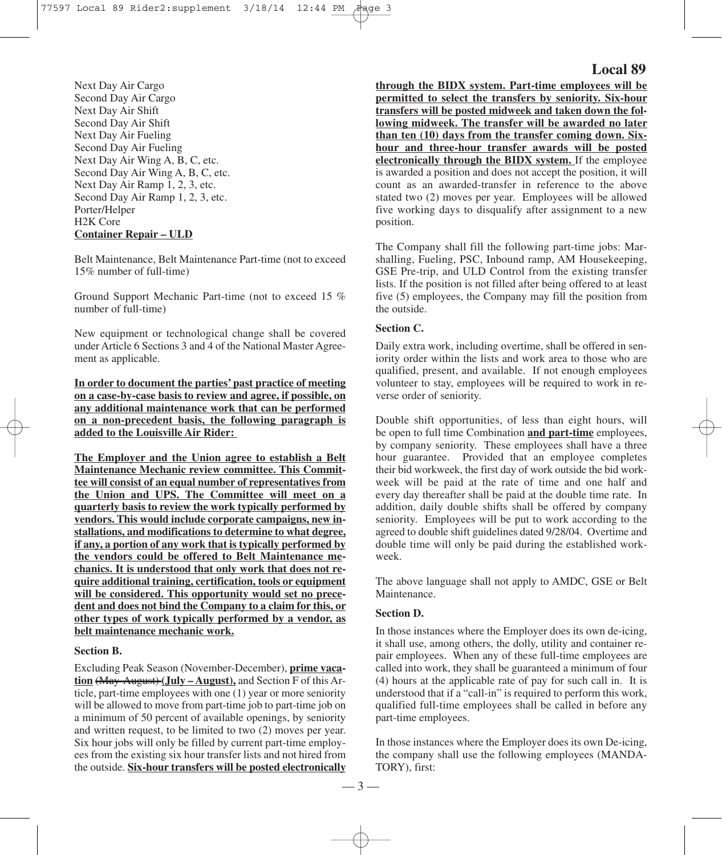Next Day Air Cargo Second Day Air Cargo Next Day Air Shift Second Day Air Shift Next Day Air Fueling Second Day Air Fueling Next Day Air Wing A, B, C, etc. Second Day Air Wing A, B, C, etc. Next Day Air Ramp 1, 2, 3, etc. Second Day Air Ramp 1, 2, 3, etc. Porter/Helper H2K Core **Container Repair – ULD**

Belt Maintenance, Belt Maintenance Part-time (not to exceed 15% number of full-time)

Ground Support Mechanic Part-time (not to exceed 15 % number of full-time)

New equipment or technological change shall be covered under Article 6 Sections 3 and 4 of the National Master Agreement as applicable.

**In order to document the parties' past practice of meeting on a case-by-case basis to review and agree, if possible, on any additional maintenance work that can be performed on a non-precedent basis, the following paragraph is added to the Louisville Air Rider:**

**The Employer and the Union agree to establish a Belt Maintenance Mechanic review committee. This Committee will consist of an equal number of representatives from the Union and UPS. The Committee will meet on a quarterly basis to review the work typically performed by vendors. This would include corporate campaigns, new installations, and modifications to determine to what degree, if any, a portion of any work that is typically performed by the vendors could be offered to Belt Maintenance mechanics. It is understood that only work that does not require additional training, certification, tools or equipment will be considered. This opportunity would set no precedent and does not bind the Company to a claim for this, or other types of work typically performed by a vendor, as belt maintenance mechanic work.**

#### **Section B.**

Excluding Peak Season (November-December), **prime vacation** (May-August) **(July – August),** and Section F of this Article, part-time employees with one (1) year or more seniority will be allowed to move from part-time job to part-time job on a minimum of 50 percent of available openings, by seniority and written request, to be limited to two (2) moves per year. Six hour jobs will only be filled by current part-time employees from the existing six hour transfer lists and not hired from the outside. **Six-hour transfers will be posted electronically**

# **Local 89**

**through the BIDX system. Part-time employees will be permitted to select the transfers by seniority. Six-hour transfers will be posted midweek and taken down the following midweek. The transfer will be awarded no later than ten (10) days from the transfer coming down. Sixhour and three-hour transfer awards will be posted electronically through the BIDX system.** If the employee is awarded a position and does not accept the position, it will count as an awarded-transfer in reference to the above stated two (2) moves per year. Employees will be allowed five working days to disqualify after assignment to a new position.

The Company shall fill the following part-time jobs: Marshalling, Fueling, PSC, Inbound ramp, AM Housekeeping, GSE Pre-trip, and ULD Control from the existing transfer lists. If the position is not filled after being offered to at least five (5) employees, the Company may fill the position from the outside.

# **Section C.**

Daily extra work, including overtime, shall be offered in seniority order within the lists and work area to those who are qualified, present, and available. If not enough employees volunteer to stay, employees will be required to work in reverse order of seniority.

Double shift opportunities, of less than eight hours, will be open to full time Combination **and part-time** employees, by company seniority. These employees shall have a three hour guarantee. Provided that an employee completes their bid workweek, the first day of work outside the bid workweek will be paid at the rate of time and one half and every day thereafter shall be paid at the double time rate. In addition, daily double shifts shall be offered by company seniority. Employees will be put to work according to the agreed to double shift guidelines dated 9/28/04. Overtime and double time will only be paid during the established workweek.

The above language shall not apply to AMDC, GSE or Belt Maintenance.

#### **Section D.**

In those instances where the Employer does its own de-icing, it shall use, among others, the dolly, utility and container repair employees. When any of these full-time employees are called into work, they shall be guaranteed a minimum of four (4) hours at the applicable rate of pay for such call in. It is understood that if a "call-in" is required to perform this work, qualified full-time employees shall be called in before any part-time employees.

In those instances where the Employer does its own De-icing, the company shall use the following employees (MANDA-TORY), first: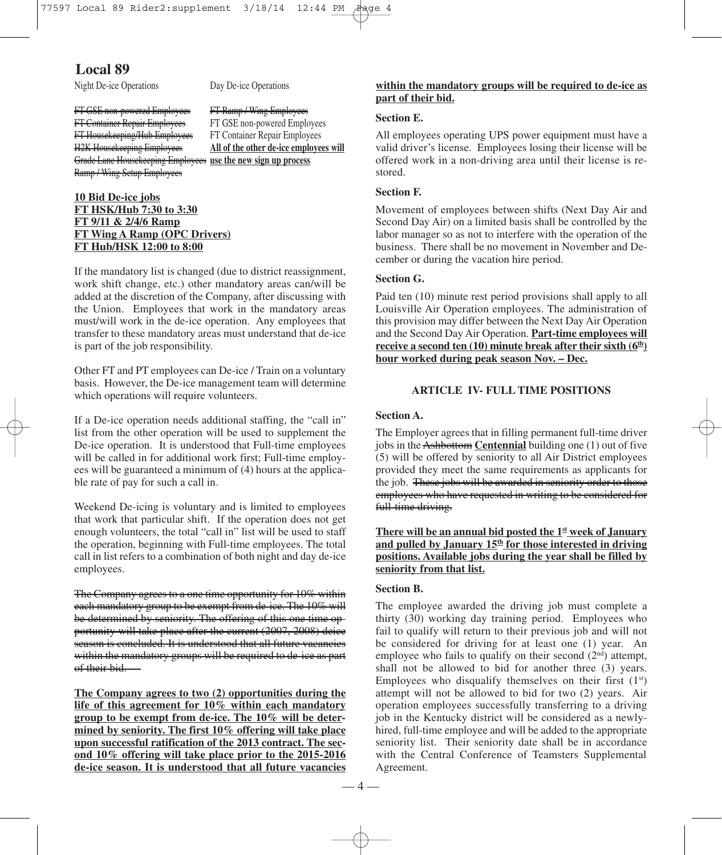Night De-ice Operations Day De-ice Operations

FT GSE non-powered Employees FT Ramp / Wing Employees FT Container Repair Employees FT GSE non-powered Employees FT Housekeeping/Hub Employees FT Container Repair Employees Grade Lane Housekeeping Employees **use the new sign up process** Ramp / Wing Setup Employees

H2K Housekeeping Employees **All of the other de-ice employees will**

# **10 Bid De-ice jobs FT HSK/Hub 7:30 to 3:30 FT 9/11 & 2/4/6 Ramp FT Wing A Ramp (OPC Drivers) FT Hub/HSK 12:00 to 8:00**

If the mandatory list is changed (due to district reassignment, work shift change, etc.) other mandatory areas can/will be added at the discretion of the Company, after discussing with the Union. Employees that work in the mandatory areas must/will work in the de-ice operation. Any employees that transfer to these mandatory areas must understand that de-ice is part of the job responsibility.

Other FT and PT employees can De-ice / Train on a voluntary basis. However, the De-ice management team will determine which operations will require volunteers.

If a De-ice operation needs additional staffing, the "call in" list from the other operation will be used to supplement the De-ice operation. It is understood that Full-time employees will be called in for additional work first; Full-time employees will be guaranteed a minimum of (4) hours at the applicable rate of pay for such a call in.

Weekend De-icing is voluntary and is limited to employees that work that particular shift. If the operation does not get enough volunteers, the total "call in" list will be used to staff the operation, beginning with Full-time employees. The total call in list refers to a combination of both night and day de-ice employees.

The Company agrees to a one time opportunity for 10% within each mandatory group to be exempt from de-ice. The 10% will be determined by seniority. The offering of this one time opportunity will take place after the current (2007, 2008) deice season is concluded. It is understood that all future vacancies within the mandatory groups will be required to de-ice as part of their bid.

**The Company agrees to two (2) opportunities during the life of this agreement for 10% within each mandatory group to be exempt from de-ice. The 10% will be determined by seniority. The first 10% offering will take place upon successful ratification of the 2013 contract. The second 10% offering will take place prior to the 2015-2016 de-ice season. It is understood that all future vacancies**

# **within the mandatory groups will be required to de-ice as part of their bid.**

## **Section E.**

All employees operating UPS power equipment must have a valid driver's license. Employees losing their license will be offered work in a non-driving area until their license is restored.

#### **Section F.**

Movement of employees between shifts (Next Day Air and Second Day Air) on a limited basis shall be controlled by the labor manager so as not to interfere with the operation of the business. There shall be no movement in November and December or during the vacation hire period.

# **Section G.**

Paid ten (10) minute rest period provisions shall apply to all Louisville Air Operation employees. The administration of this provision may differ between the Next Day Air Operation and the Second Day Air Operation. **Part-time employees will receive a second ten (10) minute break after their sixth (6th ) hour worked during peak season Nov. – Dec.**

## **ARTICLE IV- FULL TIME POSITIONS**

#### **Section A.**

The Employer agrees that in filling permanent full-time driver jobs in the Ashbottom **Centennial** building one (1) out of five (5) will be offered by seniority to all Air District employees provided they meet the same requirements as applicants for the job. These jobs will be awarded in seniority order to those employees who have requested in writing to be considered for full-time driving.

**There will be an annual bid posted the 1st week of January and pulled by January 15th for those interested in driving positions. Available jobs during the year shall be filled by seniority from that list.**

#### **Section B.**

The employee awarded the driving job must complete a thirty (30) working day training period. Employees who fail to qualify will return to their previous job and will not be considered for driving for at least one (1) year. An employee who fails to qualify on their second  $(2<sup>nd</sup>)$  attempt, shall not be allowed to bid for another three (3) years. Employees who disqualify themselves on their first  $(1<sup>st</sup>)$ attempt will not be allowed to bid for two (2) years. Air operation employees successfully transferring to a driving job in the Kentucky district will be considered as a newlyhired, full-time employee and will be added to the appropriate seniority list. Their seniority date shall be in accordance with the Central Conference of Teamsters Supplemental Agreement.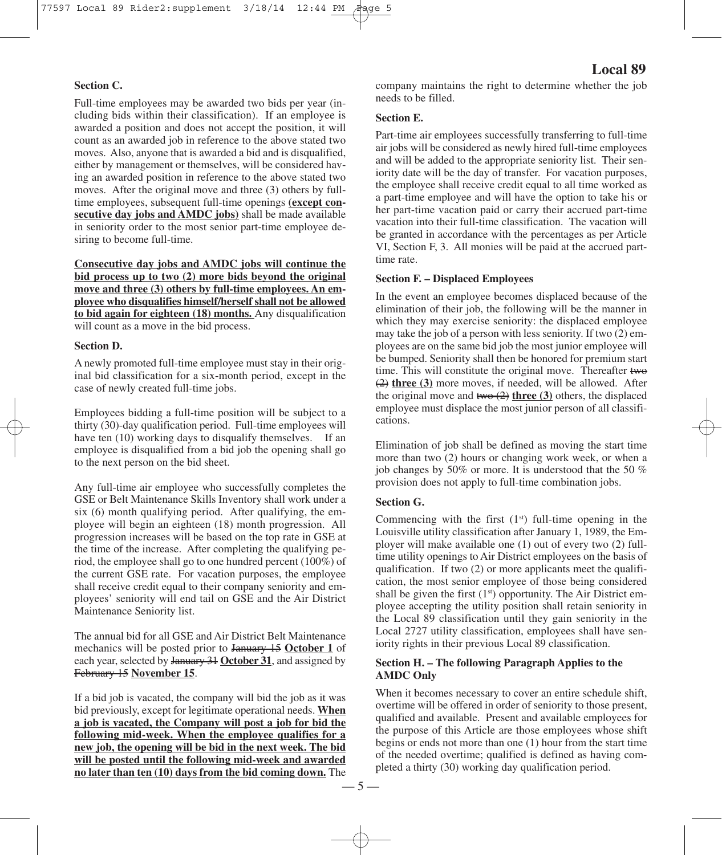#### **Section C.**

Full-time employees may be awarded two bids per year (including bids within their classification). If an employee is awarded a position and does not accept the position, it will count as an awarded job in reference to the above stated two moves. Also, anyone that is awarded a bid and is disqualified, either by management or themselves, will be considered having an awarded position in reference to the above stated two moves. After the original move and three (3) others by fulltime employees, subsequent full-time openings **(except consecutive day jobs and AMDC jobs)** shall be made available in seniority order to the most senior part-time employee desiring to become full-time.

**Consecutive day jobs and AMDC jobs will continue the bid process up to two (2) more bids beyond the original move and three (3) others by full-time employees. An employee who disqualifies himself/herself shall not be allowed to bid again for eighteen (18) months.** Any disqualification will count as a move in the bid process.

#### **Section D.**

A newly promoted full-time employee must stay in their original bid classification for a six-month period, except in the case of newly created full-time jobs.

Employees bidding a full-time position will be subject to a thirty (30)-day qualification period. Full-time employees will have ten (10) working days to disqualify themselves. If an employee is disqualified from a bid job the opening shall go to the next person on the bid sheet.

Any full-time air employee who successfully completes the GSE or Belt Maintenance Skills Inventory shall work under a six (6) month qualifying period. After qualifying, the employee will begin an eighteen (18) month progression. All progression increases will be based on the top rate in GSE at the time of the increase. After completing the qualifying period, the employee shall go to one hundred percent (100%) of the current GSE rate. For vacation purposes, the employee shall receive credit equal to their company seniority and employees' seniority will end tail on GSE and the Air District Maintenance Seniority list.

The annual bid for all GSE and Air District Belt Maintenance mechanics will be posted prior to January 15 **October 1** of each year, selected by January 31 **October 31**, and assigned by February 15 **November 15**.

If a bid job is vacated, the company will bid the job as it was bid previously, except for legitimate operational needs. **When a job is vacated, the Company will post a job for bid the following mid-week. When the employee qualifies for a new job, the opening will be bid in the next week. The bid will be posted until the following mid-week and awarded no later than ten (10) days from the bid coming down.** The

# **Local 89**

company maintains the right to determine whether the job needs to be filled.

## **Section E.**

Part-time air employees successfully transferring to full-time air jobs will be considered as newly hired full-time employees and will be added to the appropriate seniority list. Their seniority date will be the day of transfer. For vacation purposes, the employee shall receive credit equal to all time worked as a part-time employee and will have the option to take his or her part-time vacation paid or carry their accrued part-time vacation into their full-time classification. The vacation will be granted in accordance with the percentages as per Article VI, Section F, 3. All monies will be paid at the accrued parttime rate.

#### **Section F. – Displaced Employees**

In the event an employee becomes displaced because of the elimination of their job, the following will be the manner in which they may exercise seniority: the displaced employee may take the job of a person with less seniority. If two (2) employees are on the same bid job the most junior employee will be bumped. Seniority shall then be honored for premium start time. This will constitute the original move. Thereafter two (2) **three (3)** more moves, if needed, will be allowed. After the original move and two (2) **three (3)** others, the displaced employee must displace the most junior person of all classifications.

Elimination of job shall be defined as moving the start time more than two (2) hours or changing work week, or when a job changes by 50% or more. It is understood that the 50 % provision does not apply to full-time combination jobs.

#### **Section G.**

Commencing with the first  $(1<sup>st</sup>)$  full-time opening in the Louisville utility classification after January 1, 1989, the Employer will make available one (1) out of every two (2) fulltime utility openings to Air District employees on the basis of qualification. If two (2) or more applicants meet the qualification, the most senior employee of those being considered shall be given the first (1st) opportunity. The Air District employee accepting the utility position shall retain seniority in the Local 89 classification until they gain seniority in the Local 2727 utility classification, employees shall have seniority rights in their previous Local 89 classification.

## **Section H. – The following Paragraph Applies to the AMDC Only**

When it becomes necessary to cover an entire schedule shift, overtime will be offered in order of seniority to those present, qualified and available. Present and available employees for the purpose of this Article are those employees whose shift begins or ends not more than one (1) hour from the start time of the needed overtime; qualified is defined as having completed a thirty (30) working day qualification period.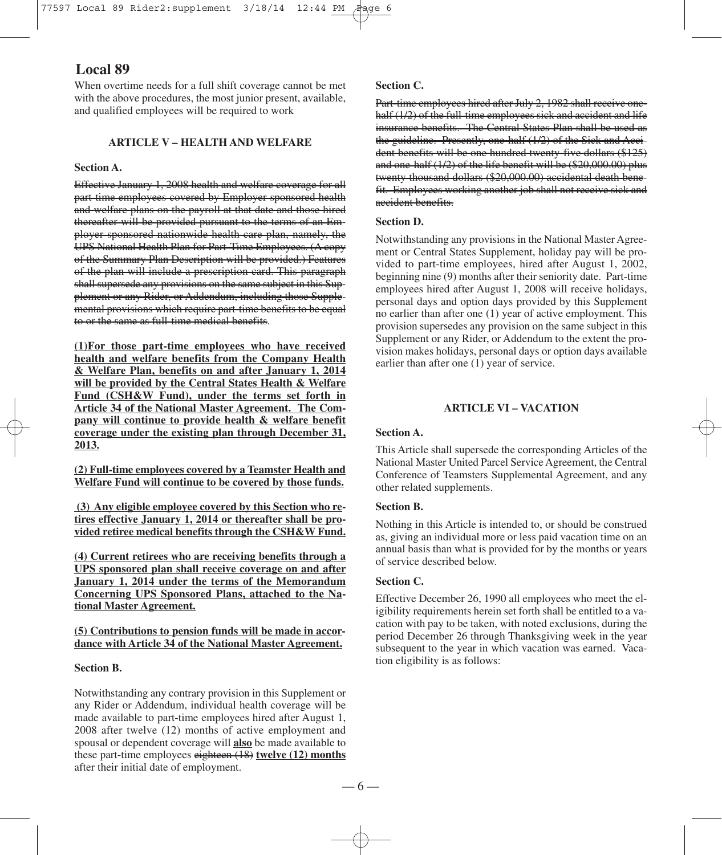When overtime needs for a full shift coverage cannot be met with the above procedures, the most junior present, available, and qualified employees will be required to work

# **ARTICLE V – HEALTH AND WELFARE**

#### **Section A.**

Effective January 1, 2008 health and welfare coverage for all part-time employees covered by Employer sponsored health and welfare plans on the payroll at that date and those hired thereafter will be provided pursuant to the terms of an Employer sponsored nationwide health care plan, namely, the UPS National Health Plan for Part-Time Employees. (A copy of the Summary Plan Description will be provided.) Features of the plan will include a prescription card. This paragraph shall supersede any provisions on the same subject in this Supplement or any Rider, or Addendum, including those Supplemental provisions which require part-time benefits to be equal to or the same as full-time medical benefits.

**(1)For those part-time employees who have received health and welfare benefits from the Company Health & Welfare Plan, benefits on and after January 1, 2014 will be provided by the Central States Health & Welfare Fund (CSH&W Fund), under the terms set forth in Article 34 of the National Master Agreement. The Company will continue to provide health & welfare benefit coverage under the existing plan through December 31, 2013.**

**(2) Full-time employees covered by a Teamster Health and Welfare Fund will continue to be covered by those funds.**

**(3) Any eligible employee covered by this Section who retires effective January 1, 2014 or thereafter shall be provided retiree medical benefits through the CSH&W Fund.**

**(4) Current retirees who are receiving benefits through a UPS sponsored plan shall receive coverage on and after January 1, 2014 under the terms of the Memorandum Concerning UPS Sponsored Plans, attached to the National Master Agreement.**

**(5) Contributions to pension funds will be made in accordance with Article 34 of the National Master Agreement.**

#### **Section B.**

Notwithstanding any contrary provision in this Supplement or any Rider or Addendum, individual health coverage will be made available to part-time employees hired after August 1, 2008 after twelve (12) months of active employment and spousal or dependent coverage will **also** be made available to these part-time employees eighteen (18) **twelve (12) months** after their initial date of employment.

#### **Section C.**

Part-time employees hired after July 2, 1982 shall receive onehalf (1/2) of the full-time employees sick and accident and life insurance benefits. The Central States Plan shall be used as the guideline. Presently, one-half (1/2) of the Sick and Accident benefits will be one hundred twenty-five dollars (\$125) and one-half (1/2) of the life benefit will be (\$20,000.00) plus twenty thousand dollars (\$20,000.00) accidental death benefit. Employees working another job shall not receive sick and accident benefits.

#### **Section D.**

Notwithstanding any provisions in the National Master Agreement or Central States Supplement, holiday pay will be provided to part-time employees, hired after August 1, 2002, beginning nine (9) months after their seniority date. Part-time employees hired after August 1, 2008 will receive holidays, personal days and option days provided by this Supplement no earlier than after one (1) year of active employment. This provision supersedes any provision on the same subject in this Supplement or any Rider, or Addendum to the extent the provision makes holidays, personal days or option days available earlier than after one (1) year of service.

# **ARTICLE VI – VACATION**

#### **Section A.**

This Article shall supersede the corresponding Articles of the National Master United Parcel Service Agreement, the Central Conference of Teamsters Supplemental Agreement, and any other related supplements.

## **Section B.**

Nothing in this Article is intended to, or should be construed as, giving an individual more or less paid vacation time on an annual basis than what is provided for by the months or years of service described below.

## **Section C.**

Effective December 26, 1990 all employees who meet the eligibility requirements herein set forth shall be entitled to a vacation with pay to be taken, with noted exclusions, during the period December 26 through Thanksgiving week in the year subsequent to the year in which vacation was earned. Vacation eligibility is as follows: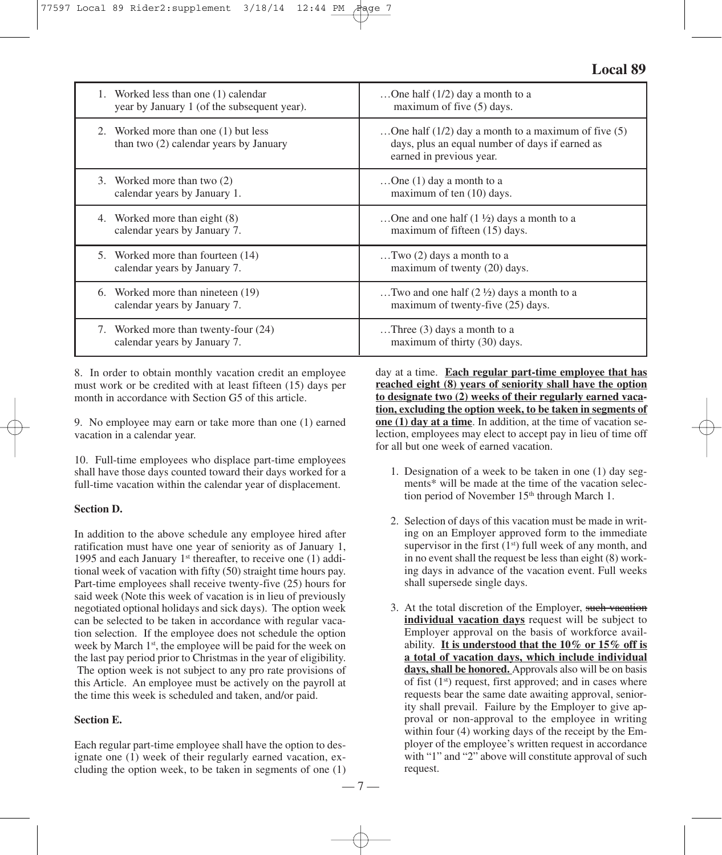|    | 1. Worked less than one (1) calendar<br>year by January 1 (of the subsequent year). | One half $(1/2)$ day a month to a<br>maximum of five (5) days.                                                                         |
|----|-------------------------------------------------------------------------------------|----------------------------------------------------------------------------------------------------------------------------------------|
|    | 2. Worked more than one (1) but less<br>than two $(2)$ calendar years by January    | One half $(1/2)$ day a month to a maximum of five $(5)$<br>days, plus an equal number of days if earned as<br>earned in previous year. |
|    | 3. Worked more than two (2)<br>calendar years by January 1.                         | One $(1)$ day a month to a<br>maximum of ten (10) days.                                                                                |
|    | Worked more than eight (8)<br>calendar years by January 7.                          | One and one half $(1 \frac{1}{2})$ days a month to a<br>maximum of fifteen (15) days.                                                  |
| 5. | Worked more than fourteen (14)<br>calendar years by January 7.                      | Two $(2)$ days a month to a<br>maximum of twenty (20) days.                                                                            |
| 6. | Worked more than nineteen (19)<br>calendar years by January 7.                      | Two and one half $(2 \frac{1}{2})$ days a month to a<br>maximum of twenty-five (25) days.                                              |
| 7. | Worked more than twenty-four (24)<br>calendar years by January 7.                   | Three $(3)$ days a month to a<br>maximum of thirty (30) days.                                                                          |

8. In order to obtain monthly vacation credit an employee must work or be credited with at least fifteen (15) days per month in accordance with Section G5 of this article.

9. No employee may earn or take more than one (1) earned vacation in a calendar year.

10. Full-time employees who displace part-time employees shall have those days counted toward their days worked for a full-time vacation within the calendar year of displacement.

#### **Section D.**

In addition to the above schedule any employee hired after ratification must have one year of seniority as of January 1, 1995 and each January  $1<sup>st</sup>$  thereafter, to receive one (1) additional week of vacation with fifty (50) straight time hours pay. Part-time employees shall receive twenty-five (25) hours for said week (Note this week of vacation is in lieu of previously negotiated optional holidays and sick days). The option week can be selected to be taken in accordance with regular vacation selection. If the employee does not schedule the option week by March 1<sup>st</sup>, the employee will be paid for the week on the last pay period prior to Christmas in the year of eligibility. The option week is not subject to any pro rate provisions of this Article. An employee must be actively on the payroll at the time this week is scheduled and taken, and/or paid.

#### **Section E.**

Each regular part-time employee shall have the option to designate one (1) week of their regularly earned vacation, excluding the option week, to be taken in segments of one (1) day at a time. **Each regular part-time employee that has reached eight (8) years of seniority shall have the option to designate two (2) weeks of their regularly earned vacation, excluding the option week, to be taken in segments of one (1) day at a time**. In addition, at the time of vacation selection, employees may elect to accept pay in lieu of time off for all but one week of earned vacation.

- 1. Designation of a week to be taken in one (1) day segments\* will be made at the time of the vacation selection period of November 15<sup>th</sup> through March 1.
- 2. Selection of days of this vacation must be made in writing on an Employer approved form to the immediate supervisor in the first  $(1<sup>st</sup>)$  full week of any month, and in no event shall the request be less than eight (8) working days in advance of the vacation event. Full weeks shall supersede single days.
- 3. At the total discretion of the Employer, such vacation **individual vacation days** request will be subject to Employer approval on the basis of workforce availability. **It is understood that the 10% or 15% off is a total of vacation days, which include individual days, shall be honored.** Approvals also will be on basis of fist (1<sup>st</sup>) request, first approved; and in cases where requests bear the same date awaiting approval, seniority shall prevail. Failure by the Employer to give approval or non-approval to the employee in writing within four (4) working days of the receipt by the Employer of the employee's written request in accordance with "1" and "2" above will constitute approval of such request.

— 7 —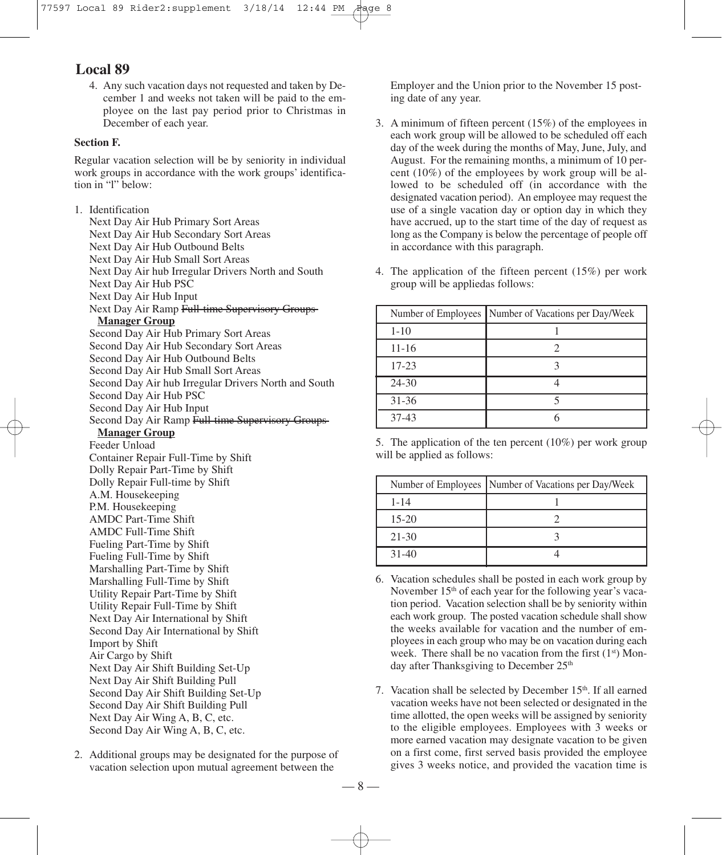4. Any such vacation days not requested and taken by December 1 and weeks not taken will be paid to the employee on the last pay period prior to Christmas in December of each year.

# **Section F.**

Regular vacation selection will be by seniority in individual work groups in accordance with the work groups' identification in "l" below:

1. Identification Next Day Air Hub Primary Sort Areas Next Day Air Hub Secondary Sort Areas Next Day Air Hub Outbound Belts Next Day Air Hub Small Sort Areas Next Day Air hub Irregular Drivers North and South Next Day Air Hub PSC Next Day Air Hub Input Next Day Air Ramp Full-time Supervisory Groups **Manager Group** Second Day Air Hub Primary Sort Areas Second Day Air Hub Secondary Sort Areas Second Day Air Hub Outbound Belts Second Day Air Hub Small Sort Areas Second Day Air hub Irregular Drivers North and South Second Day Air Hub PSC Second Day Air Hub Input Second Day Air Ramp Full-time Supervisor **Manager Group** Feeder Unload Container Repair Full-Time by Shift Dolly Repair Part-Time by Shift Dolly Repair Full-time by Shift A.M. Housekeeping P.M. Housekeeping AMDC Part-Time Shift AMDC Full-Time Shift Fueling Part-Time by Shift Fueling Full-Time by Shift Marshalling Part-Time by Shift Marshalling Full-Time by Shift Utility Repair Part-Time by Shift Utility Repair Full-Time by Shift Next Day Air International by Shift Second Day Air International by Shift Import by Shift Air Cargo by Shift Next Day Air Shift Building Set-Up Next Day Air Shift Building Pull Second Day Air Shift Building Set-Up Second Day Air Shift Building Pull Next Day Air Wing A, B, C, etc. Second Day Air Wing A, B, C, etc.

2. Additional groups may be designated for the purpose of vacation selection upon mutual agreement between the

Employer and the Union prior to the November 15 posting date of any year.

- 3. A minimum of fifteen percent (15%) of the employees in each work group will be allowed to be scheduled off each day of the week during the months of May, June, July, and August. For the remaining months, a minimum of 10 percent (10%) of the employees by work group will be allowed to be scheduled off (in accordance with the designated vacation period). An employee may request the use of a single vacation day or option day in which they have accrued, up to the start time of the day of request as long as the Company is below the percentage of people off in accordance with this paragraph.
- 4. The application of the fifteen percent (15%) per work group will be appliedas follows:

|           | Number of Employees Number of Vacations per Day/Week |
|-----------|------------------------------------------------------|
| $1 - 10$  |                                                      |
| $11 - 16$ |                                                      |
| $17 - 23$ |                                                      |
| $24 - 30$ |                                                      |
| $31 - 36$ |                                                      |
| $37-43$   |                                                      |

5. The application of the ten percent (10%) per work group will be applied as follows:

|           | Number of Employees Number of Vacations per Day/Week |
|-----------|------------------------------------------------------|
| $1 - 14$  |                                                      |
| $15-20$   |                                                      |
| $21 - 30$ |                                                      |
| $31 - 40$ |                                                      |

- 6. Vacation schedules shall be posted in each work group by November 15<sup>th</sup> of each year for the following year's vacation period. Vacation selection shall be by seniority within each work group. The posted vacation schedule shall show the weeks available for vacation and the number of employees in each group who may be on vacation during each week. There shall be no vacation from the first  $(1<sup>st</sup>)$  Monday after Thanksgiving to December 25<sup>th</sup>
- 7. Vacation shall be selected by December 15<sup>th</sup>. If all earned vacation weeks have not been selected or designated in the time allotted, the open weeks will be assigned by seniority to the eligible employees. Employees with 3 weeks or more earned vacation may designate vacation to be given on a first come, first served basis provided the employee gives 3 weeks notice, and provided the vacation time is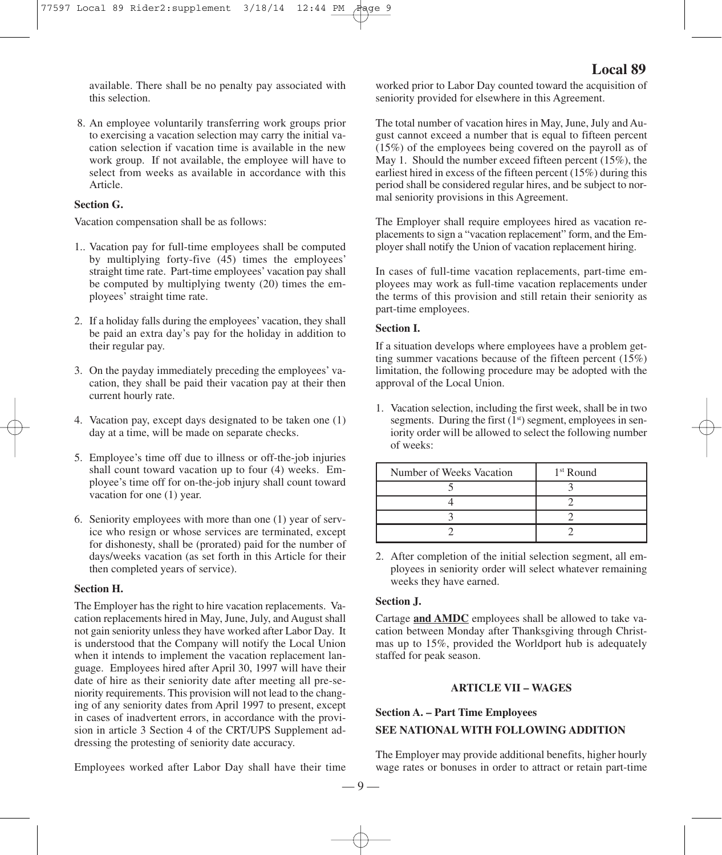available. There shall be no penalty pay associated with this selection.

8. An employee voluntarily transferring work groups prior to exercising a vacation selection may carry the initial vacation selection if vacation time is available in the new work group. If not available, the employee will have to select from weeks as available in accordance with this Article.

#### **Section G.**

Vacation compensation shall be as follows:

- 1.. Vacation pay for full-time employees shall be computed by multiplying forty-five (45) times the employees' straight time rate. Part-time employees' vacation pay shall be computed by multiplying twenty (20) times the employees' straight time rate.
- 2. If a holiday falls during the employees' vacation, they shall be paid an extra day's pay for the holiday in addition to their regular pay.
- 3. On the payday immediately preceding the employees' vacation, they shall be paid their vacation pay at their then current hourly rate.
- 4. Vacation pay, except days designated to be taken one (1) day at a time, will be made on separate checks.
- 5. Employee's time off due to illness or off-the-job injuries shall count toward vacation up to four (4) weeks. Employee's time off for on-the-job injury shall count toward vacation for one (1) year.
- 6. Seniority employees with more than one (1) year of service who resign or whose services are terminated, except for dishonesty, shall be (prorated) paid for the number of days/weeks vacation (as set forth in this Article for their then completed years of service).

#### **Section H.**

The Employer has the right to hire vacation replacements. Vacation replacements hired in May, June, July, and August shall not gain seniority unless they have worked after Labor Day. It is understood that the Company will notify the Local Union when it intends to implement the vacation replacement language. Employees hired after April 30, 1997 will have their date of hire as their seniority date after meeting all pre-seniority requirements. This provision will not lead to the changing of any seniority dates from April 1997 to present, except in cases of inadvertent errors, in accordance with the provision in article 3 Section 4 of the CRT/UPS Supplement addressing the protesting of seniority date accuracy.

Employees worked after Labor Day shall have their time

worked prior to Labor Day counted toward the acquisition of seniority provided for elsewhere in this Agreement.

The total number of vacation hires in May, June, July and August cannot exceed a number that is equal to fifteen percent (15%) of the employees being covered on the payroll as of May 1. Should the number exceed fifteen percent (15%), the earliest hired in excess of the fifteen percent (15%) during this period shall be considered regular hires, and be subject to normal seniority provisions in this Agreement.

The Employer shall require employees hired as vacation replacements to sign a "vacation replacement" form, and the Employer shall notify the Union of vacation replacement hiring.

In cases of full-time vacation replacements, part-time employees may work as full-time vacation replacements under the terms of this provision and still retain their seniority as part-time employees.

## **Section I.**

If a situation develops where employees have a problem getting summer vacations because of the fifteen percent (15%) limitation, the following procedure may be adopted with the approval of the Local Union.

1. Vacation selection, including the first week, shall be in two segments. During the first  $(1<sup>st</sup>)$  segment, employees in seniority order will be allowed to select the following number of weeks:

| Number of Weeks Vacation | $1st$ Round |
|--------------------------|-------------|
|                          |             |
|                          |             |
|                          |             |
|                          |             |

2. After completion of the initial selection segment, all employees in seniority order will select whatever remaining weeks they have earned.

## **Section J.**

Cartage **and AMDC** employees shall be allowed to take vacation between Monday after Thanksgiving through Christmas up to 15%, provided the Worldport hub is adequately staffed for peak season.

## **ARTICLE VII – WAGES**

#### **Section A. – Part Time Employees**

## **SEE NATIONAL WITH FOLLOWING ADDITION**

The Employer may provide additional benefits, higher hourly wage rates or bonuses in order to attract or retain part-time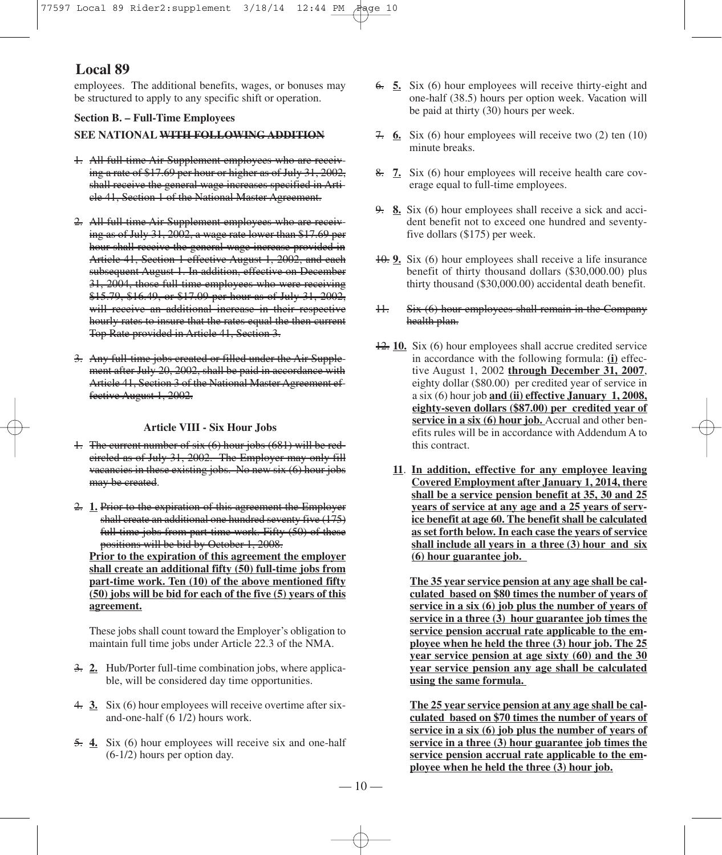employees. The additional benefits, wages, or bonuses may be structured to apply to any specific shift or operation.

**Section B. – Full-Time Employees**

#### **SEE NATIONAL WITH FOLLOWING ADDITION**

- 1. All full-time Air Supplement employees who are receiving a rate of \$17.69 per hour or higher as of July 31, 2002, shall receive the general wage increases specified in Article 41, Section 1 of the National Master Agreement.
- 2. All full-time Air Supplement employees who are receiving as of July 31, 2002, a wage rate lower than \$17.69 per hour shall receive the general wage increase provided in Article 41, Section 1 effective August 1, 2002, and each subsequent August 1. In addition, effective on December 31, 2004, those full-time employees who were receiving \$15.79, \$16.49, or \$17.09 per hour as of July 31, 2002, will receive an additional increase in their respective hourly rates to insure that the rates equal the then current Top Rate provided in Article 41, Section 3.
- 3. Any full-time jobs created or filled under the Air Supplement after July 20, 2002, shall be paid in accordance with Article 41, Section 3 of the National Master Agreement effective August 1, 2002.

#### **Article VIII - Six Hour Jobs**

- 1. The current number of six (6) hour jobs (681) will be redcircled as of July 31, 2002. The Employer may only fill vacancies in these existing jobs. No new six (6) hour jobs may be created.
- 2. **1.** Prior to the expiration of this agreement the Employer shall create an additional one hundred seventy five (175) full-time jobs from part-time work. Fifty (50) of these positions will be bid by October 1, 2008.

**Prior to the expiration of this agreement the employer shall create an additional fifty (50) full-time jobs from part-time work. Ten (10) of the above mentioned fifty (50) jobs will be bid for each of the five (5) years of this agreement.**

These jobs shall count toward the Employer's obligation to maintain full time jobs under Article 22.3 of the NMA.

- 3. **2.** Hub/Porter full-time combination jobs, where applicable, will be considered day time opportunities.
- 4. **3.** Six (6) hour employees will receive overtime after sixand-one-half (6 1/2) hours work.
- 5. **4.** Six (6) hour employees will receive six and one-half (6-1/2) hours per option day.
- 6. **5.** Six (6) hour employees will receive thirty-eight and one-half (38.5) hours per option week. Vacation will be paid at thirty (30) hours per week.
- 7. **6.** Six (6) hour employees will receive two (2) ten (10) minute breaks.
- 8. **7.** Six (6) hour employees will receive health care coverage equal to full-time employees.
- 9. **8.** Six (6) hour employees shall receive a sick and accident benefit not to exceed one hundred and seventyfive dollars (\$175) per week.
- 10. **9.** Six (6) hour employees shall receive a life insurance benefit of thirty thousand dollars (\$30,000.00) plus thirty thousand (\$30,000.00) accidental death benefit.
- 11. Six (6) hour employees shall remain in the Company health plan.
- 12. **10.** Six (6) hour employees shall accrue credited service in accordance with the following formula: **(i)** effective August 1, 2002 **through December 31, 2007**, eighty dollar (\$80.00) per credited year of service in a six (6) hour job **and (ii) effective January 1, 2008, eighty-seven dollars (\$87.00) per credited year of service in a six (6) hour job.** Accrual and other benefits rules will be in accordance with Addendum A to this contract.
	- **11**. **In addition, effective for any employee leaving Covered Employment after January 1, 2014, there shall be a service pension benefit at 35, 30 and 25 years of service at any age and a 25 years of service benefit at age 60. The benefit shall be calculated as set forth below. In each case the years of service shall include all years in a three (3) hour and six (6) hour guarantee job.**

**The 35 year service pension at any age shall be calculated based on \$80 times the number of years of service in a six (6) job plus the number of years of service in a three (3) hour guarantee job times the service pension accrual rate applicable to the employee when he held the three (3) hour job. The 25 year service pension at age sixty (60) and the 30 year service pension any age shall be calculated using the same formula.**

**The 25 year service pension at any age shall be calculated based on \$70 times the number of years of service in a six (6) job plus the number of years of service in a three (3) hour guarantee job times the service pension accrual rate applicable to the employee when he held the three (3) hour job.**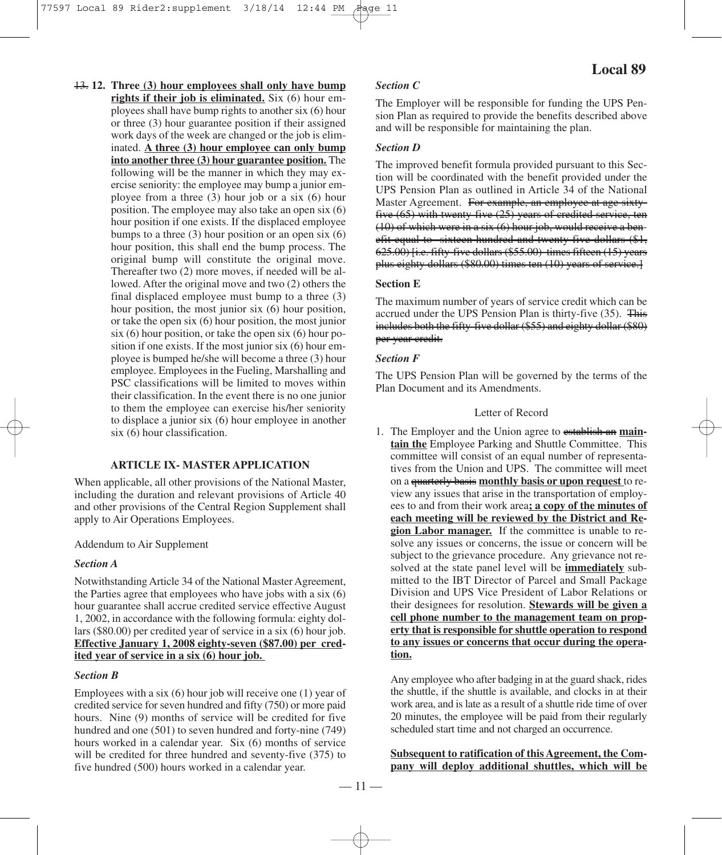13. **12. Three (3) hour employees shall only have bump rights if their job is eliminated.** Six (6) hour employees shall have bump rights to another six (6) hour or three (3) hour guarantee position if their assigned work days of the week are changed or the job is eliminated. **A three (3) hour employee can only bump into another three (3) hour guarantee position.** The following will be the manner in which they may exercise seniority: the employee may bump a junior employee from a three (3) hour job or a six (6) hour position. The employee may also take an open six (6) hour position if one exists. If the displaced employee bumps to a three  $(3)$  hour position or an open six  $(6)$ hour position, this shall end the bump process. The original bump will constitute the original move. Thereafter two (2) more moves, if needed will be allowed. After the original move and two (2) others the final displaced employee must bump to a three (3) hour position, the most junior six (6) hour position, or take the open six (6) hour position, the most junior  $s$ ix (6) hour position, or take the open six (6) hour position if one exists. If the most junior six (6) hour employee is bumped he/she will become a three (3) hour employee. Employees in the Fueling, Marshalling and PSC classifications will be limited to moves within their classification. In the event there is no one junior to them the employee can exercise his/her seniority to displace a junior six (6) hour employee in another six (6) hour classification.

#### **ARTICLE IX- MASTER APPLICATION**

When applicable, all other provisions of the National Master, including the duration and relevant provisions of Article 40 and other provisions of the Central Region Supplement shall apply to Air Operations Employees.

Addendum to Air Supplement

#### *Section A*

Notwithstanding Article 34 of the National Master Agreement, the Parties agree that employees who have jobs with a six (6) hour guarantee shall accrue credited service effective August 1, 2002, in accordance with the following formula: eighty dollars (\$80.00) per credited year of service in a six (6) hour job. **Effective January 1, 2008 eighty-seven (\$87.00) per credited year of service in a six (6) hour job.**

# *Section B*

Employees with a six (6) hour job will receive one (1) year of credited service for seven hundred and fifty (750) or more paid hours. Nine (9) months of service will be credited for five hundred and one (501) to seven hundred and forty-nine (749) hours worked in a calendar year. Six (6) months of service will be credited for three hundred and seventy-five (375) to five hundred (500) hours worked in a calendar year.

### *Section C*

The Employer will be responsible for funding the UPS Pension Plan as required to provide the benefits described above and will be responsible for maintaining the plan.

## *Section D*

The improved benefit formula provided pursuant to this Section will be coordinated with the benefit provided under the UPS Pension Plan as outlined in Article 34 of the National Master Agreement. For example, an employee at age sixtyfive (65) with twenty-five (25) years of credited service, ten (10) of which were in a six (6) hour job, would receive a benefit equal to sixteen hundred and twenty-five dollars (\$1, 625.00) [i.e. fifty-five dollars (\$55.00) times fifteen (15) years plus eighty dollars (\$80.00) times ten (10) years of service.]

#### **Section E**

The maximum number of years of service credit which can be accrued under the UPS Pension Plan is thirty-five (35). This includes both the fifty-five dollar (\$55) and eighty dollar (\$80) per year credit.

# *Section F*

The UPS Pension Plan will be governed by the terms of the Plan Document and its Amendments.

#### Letter of Record

1. The Employer and the Union agree to establish an **maintain the** Employee Parking and Shuttle Committee. This committee will consist of an equal number of representatives from the Union and UPS. The committee will meet on a quarterly basis **monthly basis or upon request** to review any issues that arise in the transportation of employees to and from their work area**; a copy of the minutes of each meeting will be reviewed by the District and Region Labor manager.** If the committee is unable to resolve any issues or concerns, the issue or concern will be subject to the grievance procedure. Any grievance not resolved at the state panel level will be **immediately** submitted to the IBT Director of Parcel and Small Package Division and UPS Vice President of Labor Relations or their designees for resolution. **Stewards will be given a cell phone number to the management team on property that is responsible for shuttle operation to respond to any issues or concerns that occur during the operation.**

Any employee who after badging in at the guard shack, rides the shuttle, if the shuttle is available, and clocks in at their work area, and islate as a result of a shuttle ride time of over 20 minutes, the employee will be paid from their regularly scheduled start time and not charged an occurrence.

**Subsequent to ratification of this Agreement, the Company will deploy additional shuttles, which will be**

# **Local 89**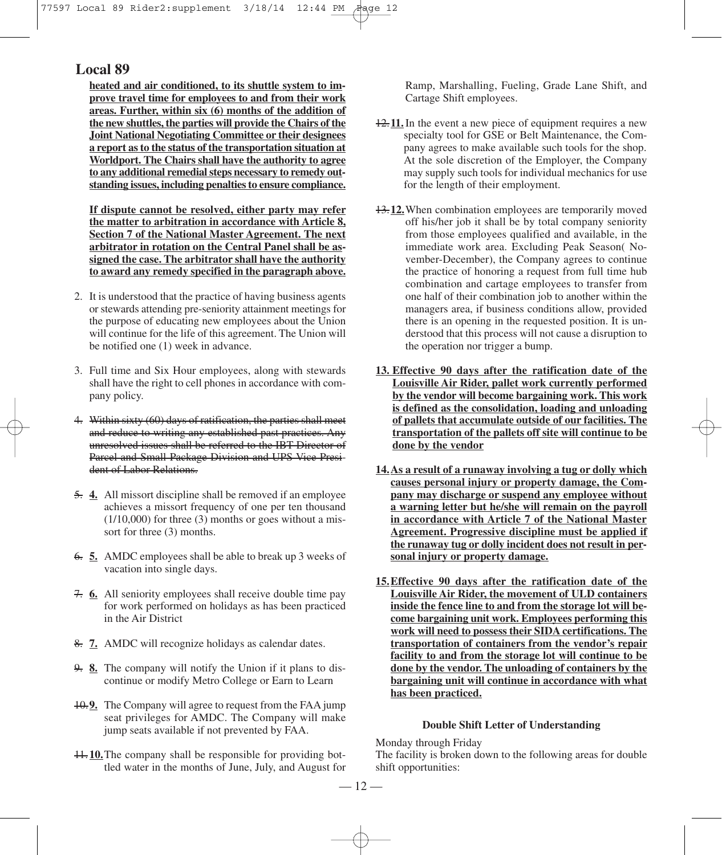**heated and air conditioned, to its shuttle system to improve travel time for employees to and from their work areas. Further, within six (6) months of the addition of the new shuttles, the parties will provide the Chairs of the Joint National Negotiating Committee or their designees a report asto the status of the transportation situation at Worldport. The Chairs shall have the authority to agree to any additional remedialsteps necessary to remedy outstanding issues, including penaltiesto ensure compliance.**

**If dispute cannot be resolved, either party may refer the matter to arbitration in accordance with Article 8, Section 7 of the National Master Agreement. The next arbitrator in rotation on the Central Panel shall be assigned the case. The arbitrator shall have the authority to award any remedy specified in the paragraph above.**

- 2. It is understood that the practice of having business agents or stewards attending pre-seniority attainment meetings for the purpose of educating new employees about the Union will continue for the life of this agreement. The Union will be notified one (1) week in advance.
- 3. Full time and Six Hour employees, along with stewards shall have the right to cell phones in accordance with company policy.
- 4. Within sixty (60) days of ratification, the parties shall meet and reduce to writing any established past practices. Any unresolved issues shall be referred to the IBT Director of Parcel and Small Package Division and UPS Vice President of Labor Relations.
- 5. **4.** All missort discipline shall be removed if an employee achieves a missort frequency of one per ten thousand  $(1/10,000)$  for three  $(3)$  months or goes without a missort for three (3) months.
- 6. **5.** AMDC employees shall be able to break up 3 weeks of vacation into single days.
- 7. **6.** All seniority employees shall receive double time pay for work performed on holidays as has been practiced in the Air District
- 8. **7.** AMDC will recognize holidays as calendar dates.
- 9. **8.** The company will notify the Union if it plans to discontinue or modify Metro College or Earn to Learn
- 10.**9.** The Company will agree to request from the FAA jump seat privileges for AMDC. The Company will make jump seats available if not prevented by FAA.
- 11.**10.**The company shall be responsible for providing bottled water in the months of June, July, and August for

Ramp, Marshalling, Fueling, Grade Lane Shift, and Cartage Shift employees.

- 12.**11.**In the event a new piece of equipment requires a new specialty tool for GSE or Belt Maintenance, the Company agrees to make available such tools for the shop. At the sole discretion of the Employer, the Company may supply such tools for individual mechanics for use for the length of their employment.
- 13.**12.**When combination employees are temporarily moved off his/her job it shall be by total company seniority from those employees qualified and available, in the immediate work area. Excluding Peak Season( November-December), the Company agrees to continue the practice of honoring a request from full time hub combination and cartage employees to transfer from one half of their combination job to another within the managers area, if business conditions allow, provided there is an opening in the requested position. It is understood that this process will not cause a disruption to the operation nor trigger a bump.
- **13. Effective 90 days after the ratification date of the Louisville Air Rider, pallet work currently performed by the vendor will become bargaining work. This work is defined as the consolidation, loading and unloading of pallets that accumulate outside of our facilities. The transportation of the pallets off site will continue to be done by the vendor**
- **14.As a result of a runaway involving a tug or dolly which causes personal injury or property damage, the Company may discharge or suspend any employee without a warning letter but he/she will remain on the payroll in accordance with Article 7 of the National Master Agreement. Progressive discipline must be applied if the runaway tug or dolly incident does not result in personal injury or property damage.**
- **15.Effective 90 days after the ratification date of the Louisville Air Rider, the movement of ULD containers inside the fence line to and from the storage lot will become bargaining unit work. Employees performing this work will need to possess their SIDA certifications. The transportation of containers from the vendor's repair facility to and from the storage lot will continue to be done by the vendor. The unloading of containers by the bargaining unit will continue in accordance with what has been practiced.**

#### **Double Shift Letter of Understanding**

Monday through Friday

The facility is broken down to the following areas for double shift opportunities:

 $-12-$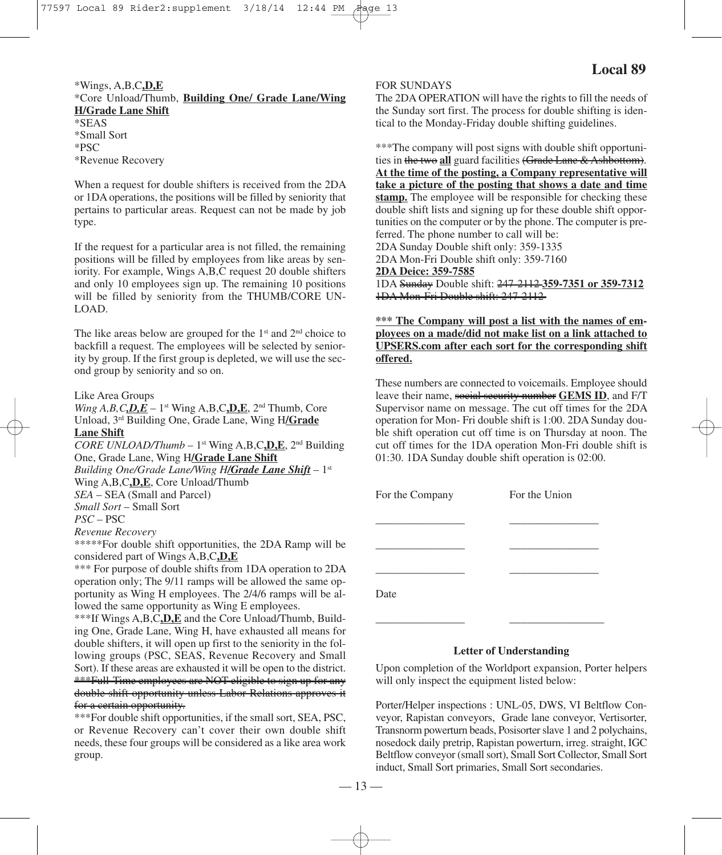# \*Wings, A,B,C**,D,E**

\*Core Unload/Thumb, **Building One/ Grade Lane/Wing H/Grade Lane Shift**

\*SEAS \*Small Sort \*PSC \*Revenue Recovery

When a request for double shifters is received from the 2DA or 1DA operations, the positions will be filled by seniority that pertains to particular areas. Request can not be made by job type.

If the request for a particular area is not filled, the remaining positions will be filled by employees from like areas by seniority. For example, Wings A,B,C request 20 double shifters and only 10 employees sign up. The remaining 10 positions will be filled by seniority from the THUMB/CORE UN-LOAD.

The like areas below are grouped for the  $1<sup>st</sup>$  and  $2<sup>nd</sup>$  choice to backfill a request. The employees will be selected by seniority by group. If the first group is depleted, we will use the second group by seniority and so on.

#### Like Area Groups

*Wing A,B,C,D,E* – 1<sup>st</sup> Wing *A,B,C,D,E,* 2<sup>nd</sup> Thumb, Core Unload, 3rd Building One, Grade Lane, Wing H**/Grade Lane Shift**

*CORE UNLOAD/Thumb* – 1st Wing A,B,C**,D,E**, 2nd Building One, Grade Lane, Wing H**/Grade Lane Shift** *Building One/Grade Lane/Wing H/Grade Lane Shift* – 1st Wing A,B,C**,D,E**, Core Unload/Thumb *SEA* – SEA (Small and Parcel) *Small Sort* – Small Sort *PSC* – PSC *Revenue Recovery* \*\*\*\*\*For double shift opportunities, the 2DA Ramp will be

considered part of Wings A,B,C**,D,E**

\*\*\* For purpose of double shifts from 1DA operation to 2DA operation only; The 9/11 ramps will be allowed the same opportunity as Wing H employees. The 2/4/6 ramps will be allowed the same opportunity as Wing E employees.

\*\*\*If Wings A,B,C**,D,E** and the Core Unload/Thumb, Building One, Grade Lane, Wing H, have exhausted all means for double shifters, it will open up first to the seniority in the following groups (PSC, SEAS, Revenue Recovery and Small Sort). If these areas are exhausted it will be open to the district. \*\*\*Full-Time employees are NOT eligible to sign up for any double shift opportunity unless Labor Relations approves it for a certain opportunity.

\*\*\*For double shift opportunities, if the small sort, SEA, PSC, or Revenue Recovery can't cover their own double shift needs, these four groups will be considered as a like area work group.

#### FOR SUNDAYS

The 2DA OPERATION will have the rights to fill the needs of the Sunday sort first. The process for double shifting is identical to the Monday-Friday double shifting guidelines.

\*\*\*The company will post signs with double shift opportunities in the two **all** guard facilities (Grade Lane & Ashbottom). **At the time of the posting, a Company representative will take a picture of the posting that shows a date and time stamp.** The employee will be responsible for checking these double shift lists and signing up for these double shift opportunities on the computer or by the phone. The computer is preferred. The phone number to call will be: 2DA Sunday Double shift only: 359-1335 2DA Mon-Fri Double shift only: 359-7160 **2DA Deice: 359-7585** 1DA Sunday Double shift: 247-2112 **359-7351 or 359-7312** 1DA Mon-Fri Double shift: 247-2112

**\*\*\* The Company will post a list with the names of employees on a made/did not make list on a link attached to UPSERS.com after each sort for the corresponding shift offered.**

These numbers are connected to voicemails. Employee should leave their name, social security number **GEMS ID**, and F/T Supervisor name on message. The cut off times for the 2DA operation for Mon- Fri double shift is 1:00. 2DA Sunday double shift operation cut off time is on Thursday at noon. The cut off times for the 1DA operation Mon-Fri double shift is 01:30. 1DA Sunday double shift operation is 02:00.

| For the Company | For the Union |  |
|-----------------|---------------|--|
|                 |               |  |
|                 |               |  |
| Date            |               |  |

\_\_\_\_\_\_\_\_\_\_\_\_\_\_\_\_ \_\_\_\_\_\_\_\_\_\_\_\_\_\_\_\_\_

#### **Letter of Understanding**

Upon completion of the Worldport expansion, Porter helpers will only inspect the equipment listed below:

Porter/Helper inspections : UNL-05, DWS, VI Beltflow Conveyor, Rapistan conveyors, Grade lane conveyor, Vertisorter, Transnorm powerturn beads, Posisorter slave 1 and 2 polychains, nosedock daily pretrip, Rapistan powerturn, irreg. straight, IGC Beltflow conveyor (smallsort), Small Sort Collector, Small Sort induct, Small Sort primaries, Small Sort secondaries.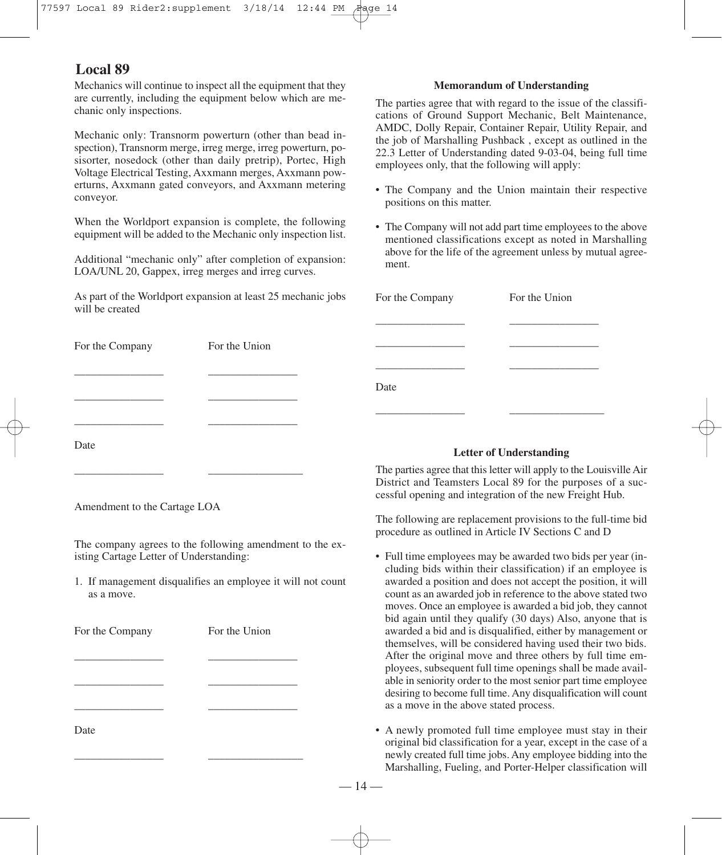Mechanics will continue to inspect all the equipment that they are currently, including the equipment below which are mechanic only inspections.

Mechanic only: Transnorm powerturn (other than bead inspection), Transnorm merge, irreg merge, irreg powerturn, posisorter, nosedock (other than daily pretrip), Portec, High Voltage Electrical Testing, Axxmann merges, Axxmann powerturns, Axxmann gated conveyors, and Axxmann metering conveyor.

When the Worldport expansion is complete, the following equipment will be added to the Mechanic only inspection list.

Additional "mechanic only" after completion of expansion: LOA/UNL 20, Gappex, irreg merges and irreg curves.

As part of the Worldport expansion at least 25 mechanic jobs will be created

# For the Company For the Union

\_\_\_\_\_\_\_\_\_\_\_\_\_\_\_\_ \_\_\_\_\_\_\_\_\_\_\_\_\_\_\_\_

\_\_\_\_\_\_\_\_\_\_\_\_\_\_\_\_ \_\_\_\_\_\_\_\_\_\_\_\_\_\_\_\_ \_\_\_\_\_\_\_\_\_\_\_\_\_\_\_\_ \_\_\_\_\_\_\_\_\_\_\_\_\_\_\_\_

\_\_\_\_\_\_\_\_\_\_\_\_\_\_\_\_ \_\_\_\_\_\_\_\_\_\_\_\_\_\_\_\_\_

# **Memorandum of Understanding**

The parties agree that with regard to the issue of the classifications of Ground Support Mechanic, Belt Maintenance, AMDC, Dolly Repair, Container Repair, Utility Repair, and the job of Marshalling Pushback , except as outlined in the 22.3 Letter of Understanding dated 9-03-04, being full time employees only, that the following will apply:

- The Company and the Union maintain their respective positions on this matter.
- The Company will not add part time employees to the above mentioned classifications except as noted in Marshalling above for the life of the agreement unless by mutual agreement.

| For the Company | For the Union |
|-----------------|---------------|
|                 |               |
|                 |               |
|                 |               |
| Date            |               |
|                 |               |

## **Letter of Understanding**

The parties agree that this letter will apply to the Louisville Air District and Teamsters Local 89 for the purposes of a successful opening and integration of the new Freight Hub.

The following are replacement provisions to the full-time bid procedure as outlined in Article IV Sections C and D

- Full time employees may be awarded two bids per year (including bids within their classification) if an employee is awarded a position and does not accept the position, it will count as an awarded job in reference to the above stated two moves. Once an employee is awarded a bid job, they cannot bid again until they qualify (30 days) Also, anyone that is awarded a bid and is disqualified, either by management or themselves, will be considered having used their two bids. After the original move and three others by full time employees, subsequent full time openings shall be made available in seniority order to the most senior part time employee desiring to become full time. Any disqualification will count as a move in the above stated process.
- A newly promoted full time employee must stay in their original bid classification for a year, except in the case of a newly created full time jobs. Any employee bidding into the Marshalling, Fueling, and Porter-Helper classification will

Amendment to the Cartage LOA

Date

The company agrees to the following amendment to the existing Cartage Letter of Understanding:

1. If management disqualifies an employee it will not count as a move.

| For the Company | For the Union |
|-----------------|---------------|
|                 |               |
|                 |               |
|                 |               |
| Date            |               |

\_\_\_\_\_\_\_\_\_\_\_\_\_\_\_\_ \_\_\_\_\_\_\_\_\_\_\_\_\_\_\_\_\_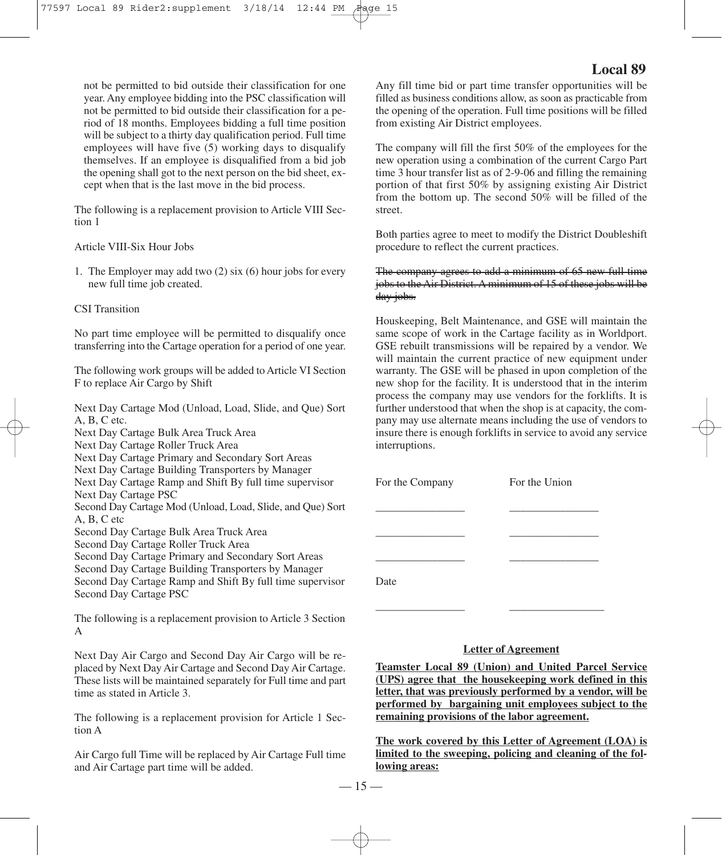not be permitted to bid outside their classification for one year. Any employee bidding into the PSC classification will not be permitted to bid outside their classification for a period of 18 months. Employees bidding a full time position will be subject to a thirty day qualification period. Full time employees will have five (5) working days to disqualify themselves. If an employee is disqualified from a bid job the opening shall got to the next person on the bid sheet, except when that is the last move in the bid process.

The following is a replacement provision to Article VIII Section 1

#### Article VIII-Six Hour Jobs

1. The Employer may add two (2) six (6) hour jobs for every new full time job created.

#### CSI Transition

No part time employee will be permitted to disqualify once transferring into the Cartage operation for a period of one year.

The following work groups will be added to Article VI Section F to replace Air Cargo by Shift

Next Day Cartage Mod (Unload, Load, Slide, and Que) Sort A, B, C etc. Next Day Cartage Bulk Area Truck Area Next Day Cartage Roller Truck Area Next Day Cartage Primary and Secondary Sort Areas Next Day Cartage Building Transporters by Manager Next Day Cartage Ramp and Shift By full time supervisor Next Day Cartage PSC Second Day Cartage Mod (Unload, Load, Slide, and Que) Sort A, B, C etc Second Day Cartage Bulk Area Truck Area Second Day Cartage Roller Truck Area Second Day Cartage Primary and Secondary Sort Areas Second Day Cartage Building Transporters by Manager Second Day Cartage Ramp and Shift By full time supervisor Second Day Cartage PSC The following is a replacement provision to Article 3 Section A

Next Day Air Cargo and Second Day Air Cargo will be replaced by Next Day Air Cartage and Second Day Air Cartage. These lists will be maintained separately for Full time and part time as stated in Article 3.

The following is a replacement provision for Article 1 Section A

Air Cargo full Time will be replaced by Air Cartage Full time and Air Cartage part time will be added.

# **Local 89**

Any fill time bid or part time transfer opportunities will be filled as business conditions allow, as soon as practicable from the opening of the operation. Full time positions will be filled from existing Air District employees.

The company will fill the first 50% of the employees for the new operation using a combination of the current Cargo Part time 3 hour transfer list as of 2-9-06 and filling the remaining portion of that first 50% by assigning existing Air District from the bottom up. The second 50% will be filled of the street.

Both parties agree to meet to modify the District Doubleshift procedure to reflect the current practices.

# The company agrees to add a minimum of 65 new full time jobs to the Air District. A minimum of 15 of these jobs will be day jobs.

Houskeeping, Belt Maintenance, and GSE will maintain the same scope of work in the Cartage facility as in Worldport. GSE rebuilt transmissions will be repaired by a vendor. We will maintain the current practice of new equipment under warranty. The GSE will be phased in upon completion of the new shop for the facility. It is understood that in the interim process the company may use vendors for the forklifts. It is further understood that when the shop is at capacity, the company may use alternate means including the use of vendors to insure there is enough forklifts in service to avoid any service interruptions.

\_\_\_\_\_\_\_\_\_\_\_\_\_\_\_\_ \_\_\_\_\_\_\_\_\_\_\_\_\_\_\_\_ \_\_\_\_\_\_\_\_\_\_\_\_\_\_\_\_ \_\_\_\_\_\_\_\_\_\_\_\_\_\_\_\_ \_\_\_\_\_\_\_\_\_\_\_\_\_\_\_\_ \_\_\_\_\_\_\_\_\_\_\_\_\_\_\_\_

\_\_\_\_\_\_\_\_\_\_\_\_\_\_\_\_ \_\_\_\_\_\_\_\_\_\_\_\_\_\_\_\_\_

For the Company For the Union

Date

## **Letter of Agreement**

**Teamster Local 89 (Union) and United Parcel Service (UPS) agree that the housekeeping work defined in this letter, that was previously performed by a vendor, will be performed by bargaining unit employees subject to the remaining provisions of the labor agreement.**

**The work covered by this Letter of Agreement (LOA) is limited to the sweeping, policing and cleaning of the following areas:**